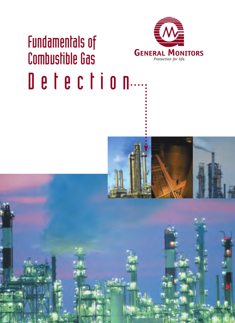## Fundamentals of Combustible Gas Detection...



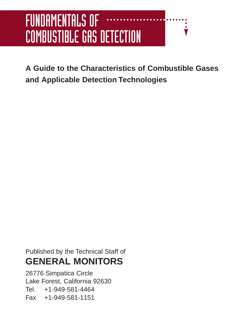## FUNDAMENTALS OF COMBUSTIBLE GAS DETECTION

**A Guide to the Characteristics of Combustible Gases and Applicable Detection Technologies**

Published by the Technical Staff of **GENERAL MONITORS**

26776 Simpatica Circle Lake Forest, California 92630 Tel. +1-949-581-4464 Fax +1-949-581-1151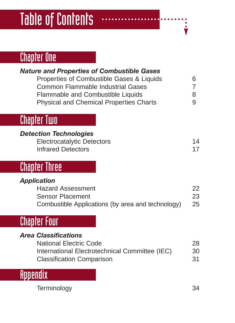## Table of Contents

### Chapter One

| <b>Nature and Properties of Combustible Gases</b><br>Properties of Combustible Gases & Liquids<br><b>Common Flammable Industrial Gases</b><br>Flammable and Combustible Liquids<br><b>Physical and Chemical Properties Charts</b> | 6<br>7<br>8<br>9 |
|-----------------------------------------------------------------------------------------------------------------------------------------------------------------------------------------------------------------------------------|------------------|
| Chapter Two                                                                                                                                                                                                                       |                  |
| <b>Detection Technologies</b><br><b>Electrocatalytic Detectors</b><br><b>Infrared Detectors</b>                                                                                                                                   | 14<br>17         |
| <b>Chapter Three</b>                                                                                                                                                                                                              |                  |
| <b>Application</b><br><b>Hazard Assessment</b><br><b>Sensor Placement</b><br>Combustible Applications (by area and technology)                                                                                                    | 22<br>23<br>25   |
| <b>Chapter Four</b>                                                                                                                                                                                                               |                  |
| <b>Area Classifications</b><br><b>National Electric Code</b><br>International Electrotechnical Committee (IEC)<br><b>Classification Comparison</b>                                                                                | 28<br>30<br>31   |
| Hooendix                                                                                                                                                                                                                          |                  |

Terminology 34

 $\bullet$  $\dot{\check{\mathbf{y}}}$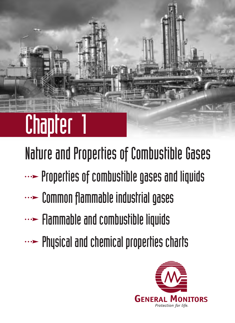

Nature and Properties of Combustible Gases

- $\cdots$  Properties of combustible gases and liquids
- **...>** Common flammable industrial gases
- $\cdots$  Flammable and combustible liquids
- $\cdots$  Physical and chemical properties charts

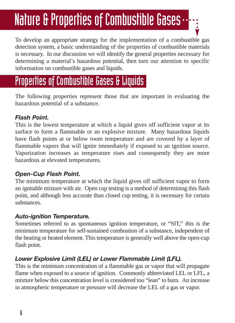## Nature & Properties of Combustible Gases…

To develop an appropriate strategy for the implementation of a combustible gas detection system, a basic understanding of the properties of combustible materials is necessary. In our discussion we will identify the general properties necessary for determining a material's hazardous potential, then turn our attention to specific information on combustible gases and liquids.

### Properties of Combustible Gases & Liquids

The following properties represent those that are important in evaluating the hazardous potential of a substance.

### *Flash Point.*

This is the lowest temperature at which a liquid gives off sufficient vapor at its surface to form a flammable or an explosive mixture. Many hazardous liquids have flash points at or below room temperature and are covered by a layer of flammable vapors that will ignite immediately if exposed to an ignition source. Vaporization increases as temperature rises and consequently they are more hazardous at elevated temperatures.

### *Open-Cup Flash Point.*

The minimum temperature at which the liquid gives off sufficient vapor to form an ignitable mixture with air. Open cup testing is a method of determining this flash point, and although less accurate than closed cup testing, it is necessary for certain substances.

### *Auto-ignition Temperature.*

Sometimes referred to as spontaneous ignition temperature, or "SIT," this is the minimum temperature for self-sustained combustion of a substance, independent of the heating or heated element. This temperature is generally well above the open-cup flash point.

### *Lower Explosive Limit (LEL) or Lower Flammable Limit (LFL).*

This is the minimum concentration of a flammable gas or vapor that will propagate flame when exposed to a source of ignition. Commonly abbreviated LEL or LFL, a mixture below this concentration level is considered too "lean" to burn. An increase in atmospheric temperature or pressure will decrease the LEL of a gas or vapor.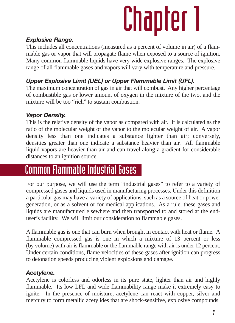### *Explosive Range.*

This includes all concentrations (measured as a percent of volume in air) of a flammable gas or vapor that will propagate flame when exposed to a source of ignition. Many common flammable liquids have very wide explosive ranges. The explosive range of all flammable gases and vapors will vary with temperature and pressure.

### *Upper Explosive Limit (UEL) or Upper Flammable Limit (UFL).*

The maximum concentration of gas in air that will combust. Any higher percentage of combustible gas or lower amount of oxygen in the mixture of the two, and the mixture will be too "rich" to sustain combustion.

### *Vapor Density.*

This is the relative density of the vapor as compared with air. It is calculated as the ratio of the molecular weight of the vapor to the molecular weight of air. A vapor density less than one indicates a substance lighter than air; conversely, densities greater than one indicate a substance heavier than air. All flammable liquid vapors are heavier than air and can travel along a gradient for considerable distances to an ignition source.

### Common Flammable Industrial Gases

For our purpose, we will use the term "industrial gases" to refer to a variety of compressed gases and liquids used in manufacturing processes. Under this definition a particular gas may have a variety of applications, such as a source of heat or power generation, or as a solvent or for medical applications. As a rule, these gases and liquids are manufactured elsewhere and then transported to and stored at the enduser's facility. We will limit our consideration to flammable gases.

A flammable gas is one that can burn when brought in contact with heat or flame. A flammable compressed gas is one in which a mixture of 13 percent or less (by volume) with air is flammable or the flammable range with air is under 12 percent. Under certain conditions, flame velocities of these gases after ignition can progress to detonation speeds producing violent explosions and damage.

### *Acetylene.*

Acetylene is colorless and odorless in its pure state, lighter than air and highly flammable. Its low LFL and wide flammability range make it extremely easy to ignite. In the presence of moisture, acetylene can react with copper, silver and mercury to form metallic acetylides that are shock-sensitive, explosive compounds.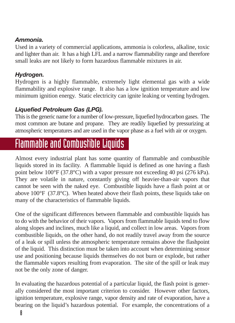#### *Ammonia.*

Used in a variety of commercial applications, ammonia is colorless, alkaline, toxic and lighter than air. It has a high LFL and a narrow flammability range and therefore small leaks are not likely to form hazardous flammable mixtures in air.

### *Hydrogen.*

Hydrogen is a highly flammable, extremely light elemental gas with a wide flammability and explosive range. It also has a low ignition temperature and low minimum ignition energy. Static electricity can ignite leaking or venting hydrogen.

### *Liquefied Petroleum Gas (LPG).*

This is the generic name for a number of low-pressure, liquefied hydrocarbon gases. The most common are butane and propane. They are readily liquefied by pressurizing at atmospheric temperatures and are used in the vapor phase as a fuel with air or oxygen.

## Flammable and Combustible Liquids

Almost every industrial plant has some quantity of flammable and combustible liquids stored in its facility. A flammable liquid is defined as one having a flash point below 100°F (37.8°C) with a vapor pressure not exceeding 40 psi (276 kPa). They are volatile in nature, constantly giving off heavier-than-air vapors that cannot be seen with the naked eye. Combustible liquids have a flash point at or above  $100^{\circ}$ F (37.8 $^{\circ}$ C). When heated above their flash points, these liquids take on many of the characteristics of flammable liquids.

One of the significant differences between flammable and combustible liquids has to do with the behavior of their vapors. Vapors from flammable liquids tend to flow along slopes and inclines, much like a liquid, and collect in low areas. Vapors from combustible liquids, on the other hand, do not readily travel away from the source of a leak or spill unless the atmospheric temperature remains above the flashpoint of the liquid. This distinction must be taken into account when determining sensor use and positioning because liquids themselves do not burn or explode, but rather the flammable vapors resulting from evaporation. The site of the spill or leak may not be the only zone of danger.

In evaluating the hazardous potential of a particular liquid, the flash point is generally considered the most important criterion to consider. However other factors, ignition temperature, explosive range, vapor density and rate of evaporation, have a bearing on the liquid's hazardous potential. For example, the concentrations of a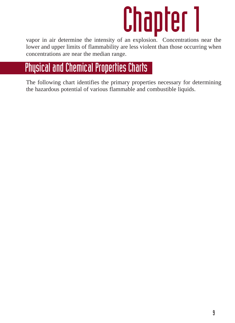vapor in air determine the intensity of an explosion. Concentrations near the lower and upper limits of flammability are less violent than those occurring when concentrations are near the median range.

## Physical and Chemical Properties Charts

The following chart identifies the primary properties necessary for determining the hazardous potential of various flammable and combustible liquids.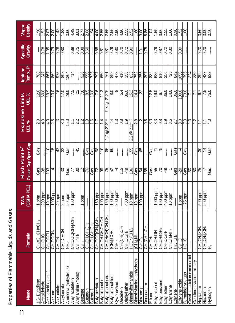| Vapor<br>Density              | 1.90                                  | 1.52            | $\overline{2.07}$    | $\overline{2.00}$ |                         | <u>수영</u>             | $\overline{0.60}$   | 4.49                                                   | $\sqrt{\frac{30}{2}}$                          | $\sqrt{7}$              | 2.06                                                            | $\frac{1.54}{\pm}$                                   | $\frac{4.00}{\pi}$                                  | $\frac{5}{25}$          |                                          | $\frac{15}{20}$       |                    | $\frac{4.90}{4.5}$    | အကြီး<br> အကြီး                                              |                             | <u> 8</u>                                                    | $\frac{3.00}{ }$        | 5.86              | <u>ior</u>       | $\frac{150}{2}$  | 3.66                     | $\frac{2.55}{2.55}$                                          | $\frac{1}{2}$                       | $\frac{86}{0}$          | $\frac{152}{2}$                 | $\overline{100}$    | ļ                             | ļ                           | $\overline{3.50}$                                               | 3.00                                               | 0.10     |
|-------------------------------|---------------------------------------|-----------------|----------------------|-------------------|-------------------------|-----------------------|---------------------|--------------------------------------------------------|------------------------------------------------|-------------------------|-----------------------------------------------------------------|------------------------------------------------------|-----------------------------------------------------|-------------------------|------------------------------------------|-----------------------|--------------------|-----------------------|--------------------------------------------------------------|-----------------------------|--------------------------------------------------------------|-------------------------|-------------------|------------------|------------------|--------------------------|--------------------------------------------------------------|-------------------------------------|-------------------------|---------------------------------|---------------------|-------------------------------|-----------------------------|-----------------------------------------------------------------|----------------------------------------------------|----------|
| Specific<br>Gravity           |                                       | $\frac{82}{10}$ | $\frac{105}{20}$     | 0.79              | 0.78                    | $\frac{80}{2}$        |                     | $\frac{88}{0.88}$                                      | $\frac{1}{0.75}$                               | $\frac{88}{2}$          | 0.60                                                            |                                                      | 88                                                  | 0.81                    | $\sqrt{81}$                              | 0.79                  | 0.80               | $\frac{1}{0.70}$      | $\overline{0.72}$                                            | 0.90                        |                                                              | $\frac{1}{1}$           | 0.75              | j                | 0.79             | 0.87                     | $\sqrt{0.72}$                                                | $\frac{80}{2}$                      |                         | 0.89                            | İ                   | ļ                             | İ                           | $\overline{0.70}$                                               | 0.70                                               | İ        |
| Ignition<br>Temp., F°         | 788                                   | 347             | $\sqrt{8}$           |                   | 885<br>88               | 88                    | $\frac{1204}{ }$    | 714                                                    |                                                |                         | 3662                                                            |                                                      | $\overline{5}$                                      | <u>1959</u>             |                                          | 892                   | 473                | $\frac{1}{40}$        | 356                                                          |                             |                                                              | အမြန်မြီး               |                   |                  | 885              | <u>ြို့ဖွံ့ဖြ</u> ို့    |                                                              |                                     |                         | 1058                            | 262                 | $\frac{8}{80}$                |                             | န္တြ                                                            | 437                                                | န္တြ     |
| Explosive Limits<br>LEL% UEL% | 12.0                                  | 60.0            | $\sqrt{9.9}$         | $\sqrt{13.0}$     | $\frac{6}{5}$           | 17.0                  | 28.0                | 7.5                                                    | ଧ                                              | ∣≈                      | $\frac{8}{8}$                                                   | $\frac{10}{2}$                                       | $\overline{7.6}$                                    | 11.2                    | $212^{\circ}$ F<br>$\circledcirc$<br>8.6 | $\overline{8.0}$      | ∞                  | $\overline{5.4}$      | 36.0                                                         | 15.2                        | $\frac{14}{4}$                                               | ।ଧ                      |                   | $\sqrt{2.5}$     | $\frac{19.0}{2}$ | 67                       | $\frac{1}{36.0}$                                             | $\frac{14.0}{5}$                    | 36.0                    | $\frac{100}{100}$               | 73.0                |                               |                             | $\overline{67}$                                                 | 7.5                                                | 75.0     |
|                               |                                       | 4.0             | $\frac{4}{0}$        | ြို့              | S                       | ြို့                  | $\sqrt{15.0}$       | $\mathbb{Z}$                                           | $\overline{\mathbb{S}}$                        | z                       | ြင                                                              | $\frac{6}{1}$                                        | $\overline{11}$                                     | 1.4                     | $\sqrt{2125}$                            | $\overline{2.4}$      | 1.3                | ∣జ                    | ြင                                                           | 212°F<br>$2.2 \circledcirc$ | ∣≈                                                           |                         | $\overline{0.6}$  | ခြုပ္ထြ          |                  | ခြိ                      | ြင                                                           | ြိုး                                | $\overline{\mathbb{Z}}$ | 이성                              |                     | 이스                            |                             |                                                                 | $\mathbb{I}$                                       | 4.0      |
| Closed Cup Open Cup           | Gas                                   |                 | ∥≘                   | $\frac{6}{2}$     | 42                      | ೫                     | Gas                 | ł                                                      | 45                                             | ĺ                       | Gas                                                             | Gas                                                  | 86                                                  | $\frac{10}{11}$         | ၂၂၂                                      |                       | ł                  | Î                     | İ                                                            | 155                         | <br>ශී                                                       | ြို့                    | İ                 | Gas              |                  | ⊯                        | İ                                                            | İ                                   | Gas                     | 4                               | Gas                 | ł                             | İ                           | ೫                                                               | $\frac{4}{1}$                                      | Gas      |
| Flash Point F°                | Gas                                   |                 | <u> SQ</u>           | 4                 |                         | န္တ                   | Gas                 | F                                                      | ೫                                              | $ \tilde{\mathcal{L}} $ | $ \varepsilon $                                                 |                                                      | ျွေး<br>မြေ                                         |                         |                                          |                       | 4                  | $\frac{15}{15}$       | $\overline{5}$                                               | 136                         |                                                              | ော်<br>မြို့အဖြစ် မြို့ |                   |                  |                  |                          |                                                              |                                     | Gas                     | $\sqrt{20}$                     | Gas                 |                               | များမြှ                     |                                                                 |                                                    | Gas      |
| TWA<br>(OSHA PEL)             | I ppm                                 | 200 ppm         | 10 ppm               | 1000 ppm          | 40 ppm                  | 2 ppm                 | 50 ppm              | 100 ppm                                                |                                                | 1 ppm                   |                                                                 |                                                      | 150 ppm                                             | $100$ ppm               | $150$ ppm                                | $\frac{100}{100}$ ppm | 300 ppm            |                       | 400 ppm                                                      | $10$ ppm                    | $\frac{10}{10}$ ppm                                          | IOO ppm                 |                   |                  | 1000 ppm         | $100$ ppm                | 400 ppm                                                      | $10$ ppm                            |                         | I ppm                           | $\overline{75}$ ppm | ł                             |                             | 500 ppm                                                         | 500 ppm                                            |          |
| Formula                       | CH <sub>2</sub> =CHCH=CH <sub>2</sub> | OHOHO           | CH3COOH              | CH3COCH3          | <b>CH<sub>3</sub>CN</b> | CH <sub>2</sub> =CHCN | Į                   | <b>CH<sub>3</sub>COOICH<sub>2</sub>ICH<sub>3</sub></b> | C <sub>S</sub> H <sub>11</sub> NH <sub>2</sub> | ے<br>گ                  | CH <sub>3</sub> CH <sub>2</sub> CH <sub>2</sub> CH <sub>3</sub> | <b>CH<sub>3</sub>CH<sub>2</sub>CH:CH<sub>2</sub></b> | CH <sub>3</sub> COO[CH <sub>3</sub> CH <sub>3</sub> | <b>CH&amp;CH&amp;CH</b> | CH <sub>3</sub> CHOHOE                   | (CH3)3COH             | ت<br>گل            | $CH_3CH_2$ ) $_8CH_3$ | C <sub>2</sub> H <sub>5</sub> OC <sub>2</sub> H <sub>5</sub> | HCON(CH3)2                  | $\overline{\text{CH}_3}$ <sub>2</sub> $\overline{\text{NH}}$ | $\overline{C_4H_8O_2}$  | $CH_3CH_2)_0CH_3$ | <b>H</b><br>High | <b>CH3CH2OH</b>  | <b>CH<sub>°</sub>CH2</b> | C <sub>2</sub> H <sub>5</sub> OC <sub>2</sub> H <sub>5</sub> | CH <sub>3</sub> CH <sub>2</sub> NH; | H <sub>2</sub> C:CH2    | C <sub>2</sub> H <sub>4</sub> O | <b>HCHO</b>         |                               |                             | <b>CH<sub>3</sub>ICH<sub>2</sub>I<sub>S</sub>CH<sub>3</sub></b> | CH <sub>3</sub> [CH <sub>2</sub> ]4CH <sub>3</sub> | F        |
| <b>Name</b>                   | .3- Butadiene                         | Acetaldehyde    | Acetic Acid (glacial | Acetone           | Acetonitrile            | Acrylonitrile         | Ammonia (anhydrous) | Amyl acetate-n                                         | Amylamine (mono)                               | <b>Benzene</b>          | 3utane-n                                                        | 3utene-1                                             | Butyl acetate-n                                     | <b>Butyl</b> alcohol-n  | 3utyl alcohol-sec                        | Butyl alcohol-tert    | <b>Cyclohexane</b> | ecane-n               | Diethyl ether                                                | <b>Dimethylformamide</b>    | imethylamine, anhydrous                                      | ioxane-p                | odecane-n         | <b>Ethane</b>    | Ethyl alcohol    | Ethyl benzene            | thyl ether                                                   | thylamine                           | thylene                 | Ethylene oxide                  | Formaldehyde gas    | Gasoline, aviation-commercial | Gasoline, aviation-military | -leptane-r                                                      | <b>Hexane-n</b>                                    | Hydrogen |

Properties of Flammable Liquids and Gases Properties of Flammable Liquids and Gases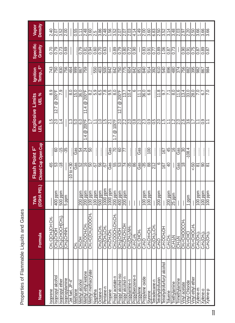| <b>Name</b>                  | Formula                                                         | TWA<br>(OSHA PEL) | Closed Cup Open Cup<br>Flash Point F°       |                                           | UEL %<br>Explosive Limits<br>LEL %  UEL % | Ignition<br>Temp., F°                                                                    | Specific<br>Gravity     | Vapor<br>Density  |
|------------------------------|-----------------------------------------------------------------|-------------------|---------------------------------------------|-------------------------------------------|-------------------------------------------|------------------------------------------------------------------------------------------|-------------------------|-------------------|
| soprene                      | CH2CICH2CH2                                                     |                   | $\vdots$                                    | 1.9                                       | 8.9                                       | 743                                                                                      | 0.70                    | 2.40              |
| sopropyl alcohol             | <b>CH3I<sub>2</sub>CHOH</b>                                     | 400 ppm           | 60<br><u>ဗုံကြိုဆို</u>                     | 2.0                                       | $@200^{\circ}$ F<br>12.7                  | 750                                                                                      | $\frac{82}{10}$         | $\overline{2.07}$ |
| Isopropyl ether              | [CH3]2CHOCH[CH <sub>3</sub>                                     | 500 ppm           | $-15$                                       | 14                                        | 7.9                                       | 32                                                                                       | $\overline{0.73}$       | $\frac{3.52}{ }$  |
| Isopropylamine               | $CH_3$ <sub>2</sub> CHNH <sub>2</sub>                           | 5 ppm             | န့                                          |                                           |                                           |                                                                                          | 0.69                    | $\frac{200}{200}$ |
| "Jet fuel, JP-4"             |                                                                 |                   | I<br>$-10$ to $+30$                         | 13                                        | $\frac{0}{8}$                             |                                                                                          |                         |                   |
| <b>Methane</b>               | <b>E</b>                                                        |                   | Gas                                         | 5.0                                       | $\frac{15.0}{2}$                          | 회의원학                                                                                     | ļ                       | $\frac{6}{10}$    |
| Methyl alcohol               | <b>CH<sub>3</sub>OH</b>                                         | 200 ppm           |                                             | ခြ                                        | $\frac{36.0}{ }$                          |                                                                                          | $\frac{8}{10}$          | 1.11              |
| Methyl ethyl ketone          | CH <sub>3</sub> COCH <sub>2</sub> CH <sub>3</sub>               | 200 ppm           | 업설임<br><mark>ျှံမျှပျံမျှချွမျှမ</mark> ိုး | 200°F<br>$\circledcirc$<br>$\overline{4}$ | @2009F<br>$\frac{4}{1}$                   |                                                                                          | $\sqrt{0.81}$           | $\frac{1}{2.48}$  |
| Methyl methacrylate          | CH2=C(CH3)COOCH3                                                | 100 ppm           |                                             | 7                                         | လ∥တဲ့<br>∽                                | İ                                                                                        | $\frac{0.94}{)}$        | $\frac{8}{3}$     |
| Naphtha                      |                                                                 | 100 ppm           | l                                           | 두                                         |                                           | 550                                                                                      | $\overline{0.60}$       | $\frac{1}{25}$    |
| Octane-n                     | $CH_3CH_2$ <sub>b</sub> CH <sub>2</sub>                         | 500 ppm           | I                                           | $\overline{1.0}$                          |                                           | 403                                                                                      | 0.70                    | జ<br>నే           |
| Pentane-n                    | $\overline{\text{CH}_3(\text{CH}_2) }$ s $\text{CH}_3$          | 1000 ppm          | İ                                           | ပြင                                       | ကြ တ က<br> တ ာ                            | $\frac{8}{2}$                                                                            | $\frac{63}{2}$          | $\frac{1}{2.48}$  |
| Propane                      | CH <sub>3</sub> CH <sub>2</sub> CH <sub>3</sub>                 | 1000 ppm          | Gas                                         | $\overline{21}$                           |                                           | 2节                                                                                       |                         | $\frac{1.56}{ }$  |
| Propyl acetate-n             | CH3COOCH2CH2CH3                                                 | 200 ppm           | 20                                          | $100^{\circ}$ F<br>$\circledcirc$         | ౹ౙ                                        | $\frac{8}{25}$                                                                           | 0.89                    | $\frac{3.52}{2}$  |
| propyl alcohol-iso           | <b>CH32CHOH</b>                                                 | 400 ppm           | 게임                                          |                                           | @ 200°F<br>12.7                           |                                                                                          | $\frac{62}{10}$         | $\frac{2.07}{2}$  |
| n-lonools lyqor <sup>c</sup> | <b>HOHOHOH</b>                                                  | 200 ppm           |                                             |                                           | 13.7                                      | $\overline{775}$                                                                         | $\frac{0.80}{0.72}$     | 2.07              |
| Propylamine-n                | CH <sub>3</sub> (CH <sub>2</sub> ) <sub>A</sub> NH <sub>2</sub> |                   | I                                           |                                           | 10.4                                      |                                                                                          |                         | 2.03              |
| Propylbenzene-n              | C <sub>8</sub> H <sub>2</sub> C <sub>6</sub> H <sub>5</sub>     | İ                 | ļ<br>ျွမျှေးများ မြင့်ပြီး<br>မြန်မာ        | <u>ျပျငျချငျပျချ</u>                      | ဖ                                         | <u>ලිම්මුම්පිදි</u>                                                                      | $\frac{0.90}{\sqrt{2}}$ | 4.14              |
| Propylene                    | CH2:CHCH <sub>3</sub>                                           | İ                 | Gãs                                         |                                           | $\leq$                                    |                                                                                          |                         | 1.49              |
| Propylene oxide              | <b>C<sub>3H<sub>6</sub>O</sub></b>                              | $100$ ppm         | ļ                                           |                                           | 36.0                                      |                                                                                          | $\sqrt{0.83}$           | $\frac{200}{200}$ |
| Styrene                      | C <sub>8</sub> H <sub>5</sub> CH=CH <sub>2</sub>                | 100 ppm           | $\overline{100}$                            |                                           | ∞<br> မ                                   |                                                                                          | $\sqrt{91}$             | 3.60              |
| etradecane-n                 | CH3(CH2)12CH3                                                   |                   | ĺ<br>$\frac{1}{212}$                        | ခြိုင်း                                   | ļ                                         |                                                                                          | $\sqrt{27}$             | 6.83              |
| etrahydrofuran               | <b>O</b><br>CaH <sub>o</sub> O                                  | <b>200 ppm</b>    | İ<br>6                                      |                                           | $\sqrt{1.8}$                              |                                                                                          | $\frac{89}{2}$          | $\frac{50}{250}$  |
| Tetrahydrofurfuryl alcohol   | C4H <sub>2</sub> OCH <sub>2</sub> OH                            |                   | $\sqrt{67}$<br>$\frac{1}{67}$               |                                           | $\overline{9.7}$                          |                                                                                          | $\frac{106}{2}$         | $\frac{52}{352}$  |
| Toluene                      | C <sub>d</sub> H <sub>s</sub> CH <sub>3</sub>                   | 200 ppm           | 45<br>우                                     | 루                                         |                                           |                                                                                          | $\sqrt{87}$             | $\frac{3.14}{4}$  |
| Triethylamine                | $(C_2H_5)_3N$                                                   | $25$ ppm          | $\overline{\mathbb{E}}$                     | 2                                         | ြွ                                        |                                                                                          | $\sqrt{0.73}$           | 3.48              |
| <b>Trimethylamine</b>        | (CH <sub>3</sub> ) <sub>s</sub> N                               |                   | Gas<br>Gas                                  |                                           | $\frac{11.6}{1}$                          |                                                                                          |                         | 2.03              |
| /inyl acetate                | CH2=CHOOCH3                                                     | İ                 | $\overline{30}$<br>$\frac{8}{1}$            | ဝဖြစ်<br>ဝါတစ်                            | 13.4                                      |                                                                                          | 0.90                    | 2.97              |
| <b>Jinyl Chloride</b>        | 豆という                                                            | 1 ppm             | $-108.4$                                    |                                           | 33.0                                      |                                                                                          | 0.91                    | 2.20              |
| Vinyl ethyl ether            | CH <sub>2</sub> =CHOC <sub>2</sub> H <sub>5</sub>               |                   | i<br>$-50$                                  | $\overline{11}$                           | $\frac{1}{28}$                            |                                                                                          | 0.75                    | 2.50              |
| Xylene-m                     | CeH(CH)                                                         | 100 ppm           | 1<br>ౚ                                      | Ξ                                         | $\overline{C}$                            |                                                                                          | $\sqrt{87}$             | 3.66              |
| Xylene-o                     | CeH(CH)                                                         | 100 ppm           | ĺ<br>န္တ                                    | $\overline{0.9}$                          | 67                                        | <u>မြိုင်ခြီးမြိုင်မြိုင်မြို့မြို့မြို့</u><br>မြိုင်ခြီးမြို့မြို့မြို့မြို့မြို့မြို့ | 88                      | 3.66              |
| <b>Xylene-p</b>              | $\rm C_{\rm e}H_4(CH_3)$                                        | 100 ppm           | ļ<br>౹ఙ                                     | Ξ                                         | $\overline{7.0}$                          |                                                                                          | 0.87                    | 3.66              |

Properties of Flammable Liquids and Gases Properties of Flammable Liquids and Gases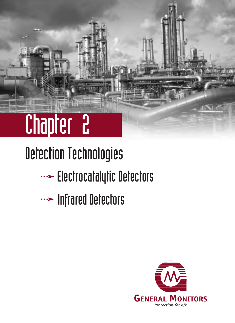# Detection Technologies

- Electrocatalytic Detectors
- Infrared Detectors

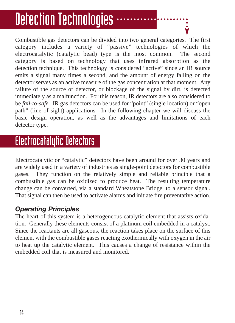## Detection Technologies  $\cdot\cdot$

Combustible gas detectors can be divided into two general categories. The first category includes a variety of "passive" technologies of which the electrocatalytic (catalytic bead) type is the most common. The second category is based on technology that uses infrared absorption as the detection technique. This technology is considered "active" since an IR source emits a signal many times a second, and the amount of energy falling on the detector serves as an active measure of the gas concentration at that moment. Any failure of the source or detector, or blockage of the signal by dirt, is detected immediately as a malfunction. For this reason, IR detectors are also considered to be *fail-to-safe.* IR gas detectors can be used for "point" (single location) or "open path" (line of sight) applications. In the following chapter we will discuss the basic design operation, as well as the advantages and limitations of each detector type.

### Electrocatalytic Detectors

Electrocatalytic or "catalytic" detectors have been around for over 30 years and are widely used in a variety of industries as single-point detectors for combustible gases. They function on the relatively simple and reliable principle that a combustible gas can be oxidized to produce heat. The resulting temperature change can be converted, via a standard Wheatstone Bridge, to a sensor signal. That signal can then be used to activate alarms and initiate fire preventative action.

### *Operating Principles*

The heart of this system is a heterogeneous catalytic element that assists oxidation. Generally these elements consist of a platinum coil embedded in a catalyst. Since the reactants are all gaseous, the reaction takes place on the surface of this element with the combustible gases reacting exothermically with oxygen in the air to heat up the catalytic element. This causes a change of resistance within the embedded coil that is measured and monitored.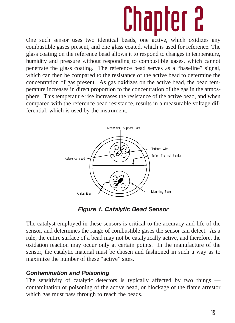One such sensor uses two identical beads, one active, which oxidizes any combustible gases present, and one glass coated, which is used for reference. The glass coating on the reference bead allows it to respond to changes in temperature, humidity and pressure without responding to combustible gases, which cannot penetrate the glass coating. The reference bead serves as a "baseline" signal, which can then be compared to the resistance of the active bead to determine the concentration of gas present. As gas oxidizes on the active bead, the bead temperature increases in direct proportion to the concentration of the gas in the atmosphere. This temperature rise increases the resistance of the active bead, and when compared with the reference bead resistance, results in a measurable voltage differential, which is used by the instrument.



*Figure 1. Catalytic Bead Sensor*

The catalyst employed in these sensors is critical to the accuracy and life of the sensor, and determines the range of combustible gases the sensor can detect. As a rule, the entire surface of a bead may not be catalytically active, and therefore, the oxidation reaction may occur only at certain points. In the manufacture of the sensor, the catalytic material must be chosen and fashioned in such a way as to maximize the number of these "active" sites.

#### *Contamination and Poisoning*

The sensitivity of catalytic detectors is typically affected by two things contamination or poisoning of the active bead, or blockage of the flame arrestor which gas must pass through to reach the beads.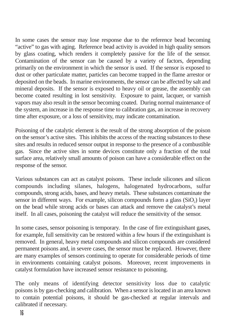In some cases the sensor may lose response due to the reference bead becoming "active" to gas with aging. Reference bead activity is avoided in high quality sensors by glass coating, which renders it completely passive for the life of the sensor. Contamination of the sensor can be caused by a variety of factors, depending primarily on the environment in which the sensor is used. If the sensor is exposed to dust or other particulate matter, particles can become trapped in the flame arrestor or deposited on the beads. In marine environments, the sensor can be affected by salt and mineral deposits. If the sensor is exposed to heavy oil or grease, the assembly can become coated resulting in lost sensitivity. Exposure to paint, lacquer, or varnish vapors may also result in the sensor becoming coated. During normal maintenance of the system, an increase in the response time to calibration gas, an increase in recovery time after exposure, or a loss of sensitivity, may indicate contamination.

Poisoning of the catalytic element is the result of the strong absorption of the poison on the sensor's active sites. This inhibits the access of the reacting substances to these sites and results in reduced sensor output in response to the presence of a combustible gas. Since the active sites in some devices constitute only a fraction of the total surface area, relatively small amounts of poison can have a considerable effect on the response of the sensor.

Various substances can act as catalyst poisons. These include silicones and silicon compounds including silanes, halogens, halogenated hydrocarbons, sulfur compounds, strong acids, bases, and heavy metals. These substances contaminate the sensor in different ways. For example, silicon compounds form a glass  $(SiO<sub>2</sub>)$  layer on the bead while strong acids or bases can attack and remove the catalyst's metal itself. In all cases, poisoning the catalyst will reduce the sensitivity of the sensor.

In some cases, sensor poisoning is temporary. In the case of fire extinguishant gases, for example, full sensitivity can be restored within a few hours if the extinguishant is removed. In general, heavy metal compounds and silicon compounds are considered permanent poisons and, in severe cases, the sensor must be replaced. However, there are many examples of sensors continuing to operate for considerable periods of time in environments containing catalyst poisons. Moreover, recent improvements in catalyst formulation have increased sensor resistance to poisoning.

The only means of identifying detector sensitivity loss due to catalytic poisons is by gas-checking and calibration. When a sensor is located in an area known to contain potential poisons, it should be gas-checked at regular intervals and calibrated if necessary.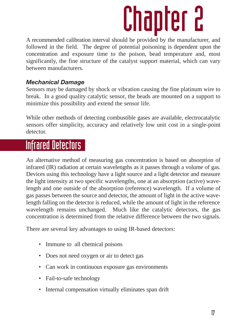A recommended calibration interval should be provided by the manufacturer, and followed in the field. The degree of potential poisoning is dependent upon the concentration and exposure time to the poison, bead temperature and, most significantly, the fine structure of the catalyst support material, which can vary between manufacturers.

### *Mechanical Damage*

Sensors may be damaged by shock or vibration causing the fine platinum wire to break. In a good quality catalytic sensor, the beads are mounted on a support to minimize this possibility and extend the sensor life.

While other methods of detecting combustible gases are available, electrocatalytic sensors offer simplicity, accuracy and relatively low unit cost in a single-point detector.

### Infrared Detectors

An alternative method of measuring gas concentration is based on absorption of infrared (IR) radiation at certain wavelengths as it passes through a volume of gas. Devices using this technology have a light source and a light detector and measure the light intensity at two specific wavelengths, one at an absorption (active) wavelength and one outside of the absorption (reference) wavelength. If a volume of gas passes between the source and detector, the amount of light in the active wavelength falling on the detector is reduced, while the amount of light in the reference wavelength remains unchanged. Much like the catalytic detectors, the gas concentration is determined from the relative difference between the two signals.

There are several key advantages to using IR-based detectors:

- Immune to all chemical poisons
- Does not need oxygen or air to detect gas
- Can work in continuous exposure gas environments
- Fail-to-safe technology
- Internal compensation virtually eliminates span drift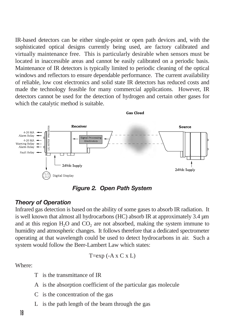IR-based detectors can be either single-point or open path devices and, with the sophisticated optical designs currently being used, are factory calibrated and virtually maintenance free. This is particularly desirable when sensors must be located in inaccessible areas and cannot be easily calibrated on a periodic basis. Maintenance of IR detectors is typically limited to periodic cleaning of the optical windows and reflectors to ensure dependable performance. The current availability of reliable, low cost electronics and solid state IR detectors has reduced costs and made the technology feasible for many commercial applications. However, IR detectors cannot be used for the detection of hydrogen and certain other gases for which the catalytic method is suitable.

**Gas Cloud** 



*Figure 2. Open Path System*

#### *Theory of Operation*

Infrared gas detection is based on the ability of some gases to absorb IR radiation. It is well known that almost all hydrocarbons (HC) absorb IR at approximately 3.4 µm and at this region  $H_2O$  and  $CO_2$  are not absorbed, making the system immune to humidity and atmospheric changes. It follows therefore that a dedicated spectrometer operating at that wavelength could be used to detect hydrocarbons in air. Such a system would follow the Beer-Lambert Law which states:

$$
T = exp (-A x C x L)
$$

Where:

- T is the transmittance of IR
- A is the absorption coefficient of the particular gas molecule
- C is the concentration of the gas
- L is the path length of the beam through the gas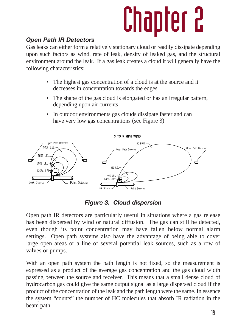### *Open Path IR Detectors*

Gas leaks can either form a relatively stationary cloud or readily dissipate depending upon such factors as wind, rate of leak, density of leaked gas, and the structural environment around the leak. If a gas leak creates a cloud it will generally have the following characteristics:

- The highest gas concentration of a cloud is at the source and it decreases in concentration towards the edges
- The shape of the gas cloud is elongated or has an irregular pattern, depending upon air currents
- In outdoor environments gas clouds dissipate faster and can have very low gas concentrations (see Figure 3)



*Figure 3. Cloud dispersion*

Open path IR detectors are particularly useful in situations where a gas release has been dispersed by wind or natural diffusion. The gas can still be detected, even though its point concentration may have fallen below normal alarm settings. Open path systems also have the advantage of being able to cover large open areas or a line of several potential leak sources, such as a row of valves or pumps.

With an open path system the path length is not fixed, so the measurement is expressed as a product of the average gas concentration and the gas cloud width passing between the source and receiver. This means that a small dense cloud of hydrocarbon gas could give the same output signal as a large dispersed cloud if the product of the concentration of the leak and the path length were the same. In essence the system "counts" the number of HC molecules that absorb IR radiation in the beam path.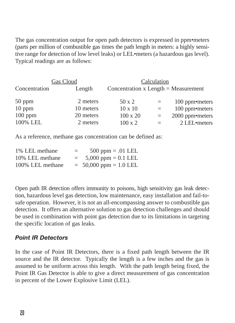The gas concentration output for open path detectors is expressed in ppm•meters (parts per million of combustible gas times the path length in meters: a highly sensitive range for detection of low level leaks) or LEL•meters (a hazardous gas level). Typical readings are as follows:

|               | Gas Cloud | Calculation                            |     |                 |  |  |  |  |
|---------------|-----------|----------------------------------------|-----|-----------------|--|--|--|--|
| Concentration | Length    | Concentration $x$ Length = Measurement |     |                 |  |  |  |  |
| $50$ ppm      | 2 meters  | $50 \times 2$                          | $=$ | 100 ppm•meters  |  |  |  |  |
| $10$ ppm      | 10 meters | $10 \times 10$                         | $=$ | 100 ppm•meters  |  |  |  |  |
| $100$ ppm     | 20 meters | $100 \times 20$                        | $=$ | 2000 ppm•meters |  |  |  |  |
| 100% LEL      | 2 meters  | $100 \times 2$                         |     | 2 LEL•meters    |  |  |  |  |

As a reference, methane gas concentration can be defined as:

| 1% LEL methane   | =   | 500 ppm = $.01$ LEL        |
|------------------|-----|----------------------------|
| 10% LEL methane  | $=$ | 5,000 ppm = $0.1$ LEL      |
| 100% LEL methane |     | $= 50,000$ ppm $= 1.0$ LEL |

Open path IR detection offers immunity to poisons, high sensitivity gas leak detection, hazardous level gas detection, low maintenance, easy installation and fail-tosafe operation. However, it is not an all-encompassing answer to combustible gas detection. It offers an alternative solution to gas detection challenges and should be used in combination with point gas detection due to its limitations in targeting the specific location of gas leaks.

#### *Point IR Detectors*

In the case of Point IR Detectors, there is a fixed path length between the IR source and the IR detector. Typically the length is a few inches and the gas is assumed to be uniform across this length. With the path length being fixed, the Point IR Gas Detector is able to give a direct measurement of gas concentration in percent of the Lower Explosive Limit (LEL).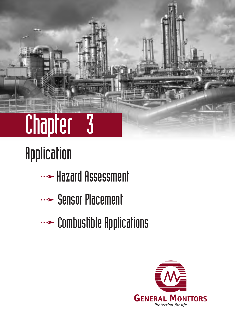

# Application

- **WE Hazard Assessment**
- ... Sensor Placement
- **WE Combustible Applications**

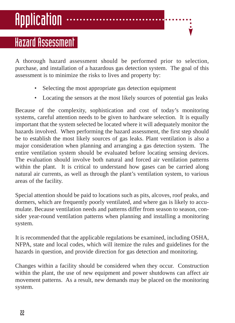# Application

### Hazard Assessment

A thorough hazard assessment should be performed prior to selection, purchase, and installation of a hazardous gas detection system. The goal of this assessment is to minimize the risks to lives and property by:

- Selecting the most appropriate gas detection equipment
- Locating the sensors at the most likely sources of potential gas leaks

Because of the complexity, sophistication and cost of today's monitoring systems, careful attention needs to be given to hardware selection. It is equally important that the system selected be located where it will adequately monitor the hazards involved. When performing the hazard assessment, the first step should be to establish the most likely sources of gas leaks. Plant ventilation is also a major consideration when planning and arranging a gas detection system. The entire ventilation system should be evaluated before locating sensing devices. The evaluation should involve both natural and forced air ventilation patterns within the plant. It is critical to understand how gases can be carried along natural air currents, as well as through the plant's ventilation system, to various areas of the facility.

Special attention should be paid to locations such as pits, alcoves, roof peaks, and dormers, which are frequently poorly ventilated, and where gas is likely to accumulate. Because ventilation needs and patterns differ from season to season, consider year-round ventilation patterns when planning and installing a monitoring system.

It is recommended that the applicable regulations be examined, including OSHA, NFPA, state and local codes, which will itemize the rules and guidelines for the hazards in question, and provide direction for gas detection and monitoring.

Changes within a facility should be considered when they occur. Construction within the plant, the use of new equipment and power shutdowns can affect air movement patterns. As a result, new demands may be placed on the monitoring system.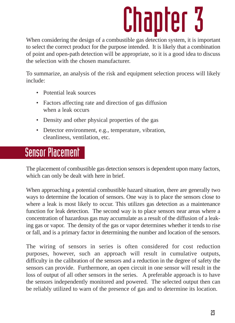When considering the design of a combustible gas detection system, it is important to select the correct product for the purpose intended. It is likely that a combination of point and open-path detection will be appropriate, so it is a good idea to discuss the selection with the chosen manufacturer.

To summarize, an analysis of the risk and equipment selection process will likely include:

- Potential leak sources
- Factors affecting rate and direction of gas diffusion when a leak occurs
- Density and other physical properties of the gas
- Detector environment, e.g., temperature, vibration, cleanliness, ventilation, etc.

### Sensor Placement

The placement of combustible gas detection sensors is dependent upon many factors, which can only be dealt with here in brief.

When approaching a potential combustible hazard situation, there are generally two ways to determine the location of sensors. One way is to place the sensors close to where a leak is most likely to occur. This utilizes gas detection as a maintenance function for leak detection. The second way is to place sensors near areas where a concentration of hazardous gas may accumulate as a result of the diffusion of a leaking gas or vapor. The density of the gas or vapor determines whether it tends to rise or fall, and is a primary factor in determining the number and location of the sensors.

The wiring of sensors in series is often considered for cost reduction purposes, however, such an approach will result in cumulative outputs, difficulty in the calibration of the sensors and a reduction in the degree of safety the sensors can provide. Furthermore, an open circuit in one sensor will result in the loss of output of all other sensors in the series. A preferable approach is to have the sensors independently monitored and powered. The selected output then can be reliably utilized to warn of the presence of gas and to determine its location.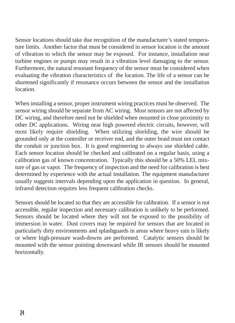Sensor locations should take due recognition of the manufacturer's stated temperature limits. Another factor that must be considered in sensor location is the amount of vibration to which the sensor may be exposed. For instance, installation near turbine engines or pumps may result in a vibration level damaging to the sensor. Furthermore, the natural resonant frequency of the sensor must be considered when evaluating the vibration characteristics of the location. The life of a sensor can be shortened significantly if resonance occurs between the sensor and the installation location.

When installing a sensor, proper instrument wiring practices must be observed. The sensor wiring should be separate from AC wiring. Most sensors are not affected by DC wiring, and therefore need not be shielded when mounted in close proximity to other DC applications. Wiring near high powered electric circuits, however, will most likely require shielding. When utilizing shielding, the wire should be grounded only at the controller or receiver end, and the outer braid must not contact the conduit or junction box. It is good engineering to always use shielded cable. Each sensor location should be checked and calibrated on a regular basis, using a calibration gas of known concentration. Typically this should be a 50% LEL mixture of gas or vapor. The frequency of inspection and the need for calibration is best determined by experience with the actual installation. The equipment manufacturer usually suggests intervals depending upon the application in question. In general, infrared detection requires less frequent calibration checks.

Sensors should be located so that they are accessible for calibration. If a sensor is not accessible, regular inspection and necessary calibration is unlikely to be performed. Sensors should be located where they will not be exposed to the possibility of immersion in water. Dust covers may be required for sensors that are located in particularly dirty environments and splashguards in areas where heavy rain is likely or where high-pressure wash-downs are performed. Catalytic sensors should be mounted with the sensor pointing downward while IR sensors should be mounted horizontally.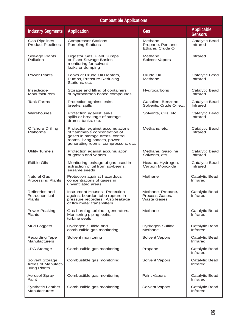| <b>Combustible Applications</b>                       |                                                                                                                                                                            |                                                           |                                     |  |  |  |
|-------------------------------------------------------|----------------------------------------------------------------------------------------------------------------------------------------------------------------------------|-----------------------------------------------------------|-------------------------------------|--|--|--|
| <b>Industry Segments</b>                              | <b>Application</b>                                                                                                                                                         | Gas                                                       | <b>Applicable</b><br><b>Sensors</b> |  |  |  |
| <b>Gas Pipelines</b><br><b>Product Pipelines</b>      | <b>Compressor Stations</b><br><b>Pumping Stations</b>                                                                                                                      | Methane<br>Propane, Pentane<br>Ethane, Crude Oil          | Catalytic Bead<br>Infrared          |  |  |  |
| Sewage Plants<br><b>Pollution</b>                     | Digestor Gas, Plant Sumps<br>or Plant Sewage Basins<br>monitoring for solvent<br>leaks or dumping                                                                          | Methane<br><b>Solvent Vapors</b>                          | Infrared                            |  |  |  |
| <b>Power Plants</b>                                   | Leaks at Crude Oil Heaters,<br>Pumps, Pressure Reducing<br>Stations, etc.                                                                                                  | Crude Oil<br>Methane                                      | Catalytic Bead<br>Infrared          |  |  |  |
| Insecticide<br>Manufacturers                          | Storage and filling of containers<br>of hydrocarbon based compounds                                                                                                        | Hydrocarbons                                              | Catalytic Bead<br>Infrared          |  |  |  |
| <b>Tank Farms</b>                                     | Protection against leaks,<br>breaks, spills                                                                                                                                | Gasoline, Benzene<br>Solvents, Crude Oil etc.             | Catalytic Bead<br>Infrared          |  |  |  |
| Warehouses                                            | Protection against leaks,<br>spills or breakage of storage<br>drums, tanks, etc.                                                                                           | Solvents, Oils, etc.                                      | Catalytic Bead<br>Infrared          |  |  |  |
| <b>Offshore Drilling</b><br>Platforms                 | Protection against accumulations<br>of flammable concentration of<br>gases in storage areas, control<br>rooms, living spaces, power<br>generating rooms, compressors, etc. | Methane, etc.                                             | Catalytic Bead<br>Infrared          |  |  |  |
| <b>Utility Tunnels</b>                                | Protection against accumulation<br>of gases and vapors                                                                                                                     | Methane, Gasoline<br>Solvents, etc.                       | Catalytic Bead<br>Infrared          |  |  |  |
| <b>Edible Oils</b>                                    | Monitoring leakage of gas used in<br>extraction of oil from soybeans,<br>sesame seeds                                                                                      | Hexane, Hydrogen,<br>Carbon Monoxide                      | Catalytic Bead<br>Infrared          |  |  |  |
| <b>Natural Gas</b><br><b>Processing Plants</b>        | Protection against hazardous<br>concentrations of gases in<br>unventilated areas                                                                                           | Methane                                                   | Catalytic Bead<br>Infrared          |  |  |  |
| Refineries and<br>Petrochemical<br><b>Plants</b>      | Instrument Houses. Protection<br>against bourdon tube rupture in<br>pressure recorders. Also leakage<br>of flowmeter transmitters.                                         | Methane, Propane,<br>Process Gases.<br><b>Waste Gases</b> | Catalytic Bead<br>Infrared          |  |  |  |
| Power Peaking<br>Plants                               | Gas burning turbine - generators.<br>Monitoring piping leaks,<br>turbine seals                                                                                             | Methane                                                   | Catalytic Bead<br>Infrared          |  |  |  |
| Mud Loggers                                           | Hydrogen Sulfide and<br>combustible gas monitoring                                                                                                                         | Hydrogen Sulfide,<br>Methane                              | Catalytic Bead<br>Infrared          |  |  |  |
| <b>Recording Tape</b><br>Manufacturers                | Solvent monitoring                                                                                                                                                         | Solvent Vapors                                            | Catalytic Bead<br>Infrared          |  |  |  |
| <b>LPG Storage</b>                                    | Combustible gas monitoring                                                                                                                                                 | Propane                                                   | Catalytic Bead<br>Infrared          |  |  |  |
| Solvent Storage<br>Areas of Manufact-<br>uring Plants | Combustible gas monitoring                                                                                                                                                 | <b>Solvent Vapors</b>                                     | Catalytic Bead<br>Infrared          |  |  |  |
| Aerosol Spray<br>Paint                                | Combustible gas monitoring                                                                                                                                                 | Paint Vapors                                              | Catalytic Bead<br>Infrared          |  |  |  |
| <b>Synthetic Leather</b><br>Manufacturers             | Combustible gas monitoring                                                                                                                                                 | Solvent Vapors                                            | Catalytic Bead<br>Infrared          |  |  |  |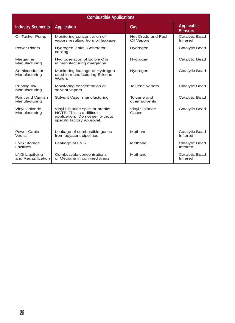| <b>Combustible Applications</b>             |                                                                                                                                 |                                  |                                     |  |  |  |  |  |  |
|---------------------------------------------|---------------------------------------------------------------------------------------------------------------------------------|----------------------------------|-------------------------------------|--|--|--|--|--|--|
| <b>Industry Segments</b>                    | <b>Application</b>                                                                                                              | Gas                              | <b>Applicable</b><br><b>Sensors</b> |  |  |  |  |  |  |
| Oil Tanker Pump                             | Monitoring concentration of<br>vapors resulting from oil leakage                                                                | Hot Crude and Fuel<br>Oil Vapors | Catalytic Bead<br>Infrared          |  |  |  |  |  |  |
| Power Plants                                | Hydrogen leaks, Generator<br>cooling                                                                                            | Hydrogen                         | Catalytic Bead                      |  |  |  |  |  |  |
| Margarine<br>Manufacturing                  | <b>Hydrogenation of Edible Oils</b><br>in manufacturing margarine                                                               | Hydrogen                         | Catalytic Bead                      |  |  |  |  |  |  |
| Semiconductor<br>Manufacturing              | Monitoring leakage of Hydrogen<br>used in manufacturing Silicone<br>Wafers                                                      | Hydrogen                         | Catalytic Bead                      |  |  |  |  |  |  |
| Printing Ink<br>Manufacturing               | Monitoring concentration of<br>solvent vapors                                                                                   | <b>Toluene Vapors</b>            | Catalytic Bead                      |  |  |  |  |  |  |
| Paint and Varnish<br>Manufacturing          | Solvent Vapor manufacturing                                                                                                     | Toluene and<br>other solvents    | Catalytic Bead                      |  |  |  |  |  |  |
| Vinyl Chloride<br>Manufacturing             | Vinyl Chloride spills or breaks.<br>NOTE: This is a difficult<br>application. Do not sell without<br>specific factory approval. | <b>Vinyl Chloride</b><br>Gases   | Catalytic Bead                      |  |  |  |  |  |  |
| Power Cable<br>Vaults                       | Leakage of combustible gases<br>from adjacent pipelines                                                                         | Methane                          | Catalytic Bead<br>Infrared          |  |  |  |  |  |  |
| <b>LNG Storage</b><br><b>Facilities</b>     | Leakage of LNG                                                                                                                  | Methane                          | Catalytic Bead<br>Infrared          |  |  |  |  |  |  |
| <b>LNG Liquifying</b><br>and Regasification | Combustible concentrations<br>of Methane in confined areas                                                                      | Methane                          | Catalytic Bead<br>Infrared          |  |  |  |  |  |  |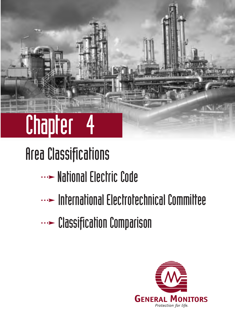## Area Classifications

- National Electric Code
- $\cdots$  International Electrotechnical Committee
- **WE Classification Comparison**

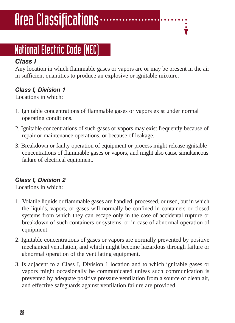# Area Classifications $\cdots$

## National Electric Code (NEC)

### *Class I*

Any location in which flammable gases or vapors are or may be present in the air in sufficient quantities to produce an explosive or ignitable mixture.

### *Class I, Division 1*

Locations in which:

- 1. Ignitable concentrations of flammable gases or vapors exist under normal operating conditions.
- 2. Ignitable concentrations of such gases or vapors may exist frequently because of repair or maintenance operations, or because of leakage.
- 3. Breakdown or faulty operation of equipment or process might release ignitable concentrations of flammable gases or vapors, and might also cause simultaneous failure of electrical equipment.

### *Class I, Division 2*

Locations in which:

- 1. Volatile liquids or flammable gases are handled, processed, or used, but in which the liquids, vapors, or gases will normally be confined in containers or closed systems from which they can escape only in the case of accidental rupture or breakdown of such containers or systems, or in case of abnormal operation of equipment.
- 2. Ignitable concentrations of gases or vapors are normally prevented by positive mechanical ventilation, and which might become hazardous through failure or abnormal operation of the ventilating equipment.
- 3. Is adjacent to a Class I, Division 1 location and to which ignitable gases or vapors might occasionally be communicated unless such communication is prevented by adequate positive pressure ventilation from a source of clean air, and effective safeguards against ventilation failure are provided.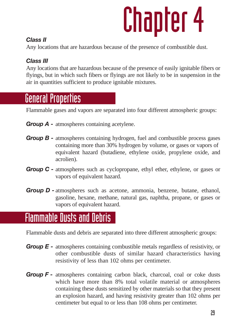### *Class II*

Any locations that are hazardous because of the presence of combustible dust.

### *Class III*

Any locations that are hazardous because of the presence of easily ignitable fibers or flyings, but in which such fibers or flyings are not likely to be in suspension in the air in quantities sufficient to produce ignitable mixtures.

### General Properties

Flammable gases and vapors are separated into four different atmospheric groups:

- *Group A -* atmospheres containing acetylene.
- *Group B -* atmospheres containing hydrogen, fuel and combustible process gases containing more than 30% hydrogen by volume, or gases or vapors of equivalent hazard (butadiene, ethylene oxide, propylene oxide, and acrolien).
- **Group C** atmospheres such as cyclopropane, ethyl ether, ethylene, or gases or vapors of equivalent hazard.
- *Group D -* atmospheres such as acetone, ammonia, benzene, butane, ethanol, gasoline, hexane, methane, natural gas, naphtha, propane, or gases or vapors of equivalent hazard.

### Flammable Dusts and Debris

Flammable dusts and debris are separated into three different atmospheric groups:

- *Group E -* atmospheres containing combustible metals regardless of resistivity, or other combustible dusts of similar hazard characteristics having resistivity of less than 102 ohms per centimeter.
- *Group F -* atmospheres containing carbon black, charcoal, coal or coke dusts which have more than 8% total volatile material or atmospheres containing these dusts sensitized by other materials so that they present an explosion hazard, and having resistivity greater than 102 ohms per centimeter but equal to or less than 108 ohms per centimeter.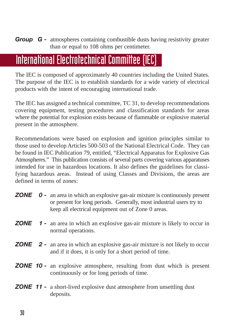*Group G -* atmospheres containing combustible dusts having resistivity greater than or equal to 108 ohms per centimeter.

### International Electrotechnical Committee (IEC)

The IEC is composed of approximately 40 countries including the United States. The purpose of the IEC is to establish standards for a wide variety of electrical products with the intent of encouraging international trade.

The IEC has assigned a technical committee, TC 31, to develop recommendations covering equipment, testing procedures and classification standards for areas where the potential for explosion exists because of flammable or explosive material present in the atmosphere.

Recommendations were based on explosion and ignition principles similar to those used to develop Articles 500-503 of the National Electrical Code. They can be found in IEC Publication 79, entitled, "Electrical Apparatus for Explosive Gas Atmospheres." This publication consists of several parts covering various apparatuses intended for use in hazardous locations. It also defines the guidelines for classifying hazardous areas. Instead of using Classes and Divisions, the areas are defined in terms of zones:

- *ZONE* **0** an area in which an explosive gas-air mixture is continuously present or present for long periods. Generally, most industrial users try to keep all electrical equipment out of Zone 0 areas.
- *ZONE* 1 an area in which an explosive gas-air mixture is likely to occur in normal operations.
- *ZONE* 2 an area in which an explosive gas-air mixture is not likely to occur and if it does, it is only for a short period of time.
- *ZONE 10 -* an explosive atmosphere, resulting from dust which is present continuously or for long periods of time.
- *ZONE 11 -* a short-lived explosive dust atmosphere from unsettling dust deposits.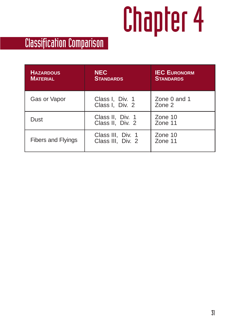## Classification Comparison

| <b>HAZARDOUS</b><br><b>MATERIAL</b> | <b>NEC</b><br><b>STANDARDS</b>         | <b>IEC EURONORM</b><br><b>STANDARDS</b> |
|-------------------------------------|----------------------------------------|-----------------------------------------|
| Gas or Vapor                        | Class I, Div. 1<br>Class I, Div. 2     | Zone 0 and 1<br>$Z$ one $2$             |
| Dust                                | Class II, Div. 1<br>Class II, Div. 2   | Zone $10$<br>Zone 11                    |
| Fibers and Flyings                  | Class III, Div. 1<br>Class III, Div. 2 | Zone $10$<br>Zone 11                    |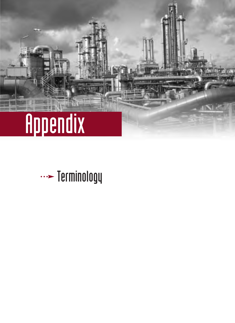

## $\cdots$  Terminology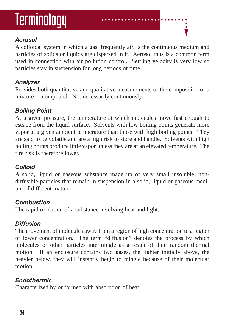## Terminology

### *Aerosol*

A colloidal system in which a gas, frequently air, is the continuous medium and particles of solids or liquids are dispersed in it. Aerosol thus is a common term used in connection with air pollution control. Settling velocity is very low so particles stay in suspension for long periods of time.

### *Analyzer*

Provides both quantitative and qualitative measurements of the composition of a mixture or compound. Not necessarily continuously.

### *Boiling Point*

At a given pressure, the temperature at which molecules move fast enough to escape from the liquid surface. Solvents with low boiling points generate more vapor at a given ambient temperature than those with high boiling points. They are said to be volatile and are a high risk to store and handle. Solvents with high boiling points produce little vapor unless they are at an elevated temperature. The fire risk is therefore lower.

### *Colloid*

A solid, liquid or gaseous substance made up of very small insoluble, nondiffusible particles that remain in suspension in a solid, liquid or gaseous medium of different matter.

### *Combustion*

The rapid oxidation of a substance involving heat and light.

### *Diffusion*

The movement of molecules away from a region of high concentration to a region of lower concentration. The term "diffusion" denotes the process by which molecules or other particles intermingle as a result of their random thermal motion. If an enclosure contains two gases, the lighter initially above, the heavier below, they will instantly begin to mingle because of their molecular motion.

### *Endothermic*

Characterized by or formed with absorption of heat.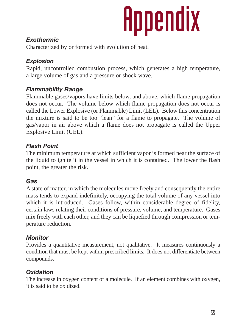# Appendix

### *Exothermic*

Characterized by or formed with evolution of heat.

### *Explosion*

Rapid, uncontrolled combustion process, which generates a high temperature, a large volume of gas and a pressure or shock wave.

### *Flammability Range*

Flammable gases/vapors have limits below, and above, which flame propagation does not occur. The volume below which flame propagation does not occur is called the Lower Explosive (or Flammable) Limit (LEL). Below this concentration the mixture is said to be too "lean" for a flame to propagate. The volume of gas/vapor in air above which a flame does not propagate is called the Upper Explosive Limit (UEL).

### *Flash Point*

The minimum temperature at which sufficient vapor is formed near the surface of the liquid to ignite it in the vessel in which it is contained. The lower the flash point, the greater the risk.

### *Gas*

A state of matter, in which the molecules move freely and consequently the entire mass tends to expand indefinitely, occupying the total volume of any vessel into which it is introduced. Gases follow, within considerable degree of fidelity, certain laws relating their conditions of pressure, volume, and temperature. Gases mix freely with each other, and they can be liquefied through compression or temperature reduction.

### *Monitor*

Provides a quantitative measurement, not qualitative. It measures continuously a condition that must be kept within prescribed limits. It does not differentiate between compounds.

### *Oxidation*

The increase in oxygen content of a molecule. If an element combines with oxygen, it is said to be oxidized.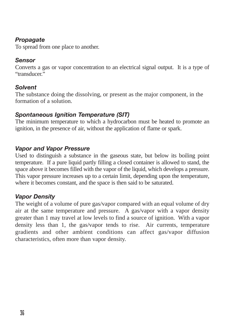#### *Propagate*

To spread from one place to another.

#### *Sensor*

Converts a gas or vapor concentration to an electrical signal output. It is a type of "transducer."

#### *Solvent*

The substance doing the dissolving, or present as the major component, in the formation of a solution.

#### *Spontaneous Ignition Temperature (SIT)*

The minimum temperature to which a hydrocarbon must be heated to promote an ignition, in the presence of air, without the application of flame or spark.

#### *Vapor and Vapor Pressure*

Used to distinguish a substance in the gaseous state, but below its boiling point temperature. If a pure liquid partly filling a closed container is allowed to stand, the space above it becomes filled with the vapor of the liquid, which develops a pressure. This vapor pressure increases up to a certain limit, depending upon the temperature, where it becomes constant, and the space is then said to be saturated.

#### *Vapor Density*

The weight of a volume of pure gas/vapor compared with an equal volume of dry air at the same temperature and pressure. A gas/vapor with a vapor density greater than 1 may travel at low levels to find a source of ignition. With a vapor density less than 1, the gas/vapor tends to rise. Air currents, temperature gradients and other ambient conditions can affect gas/vapor diffusion characteristics, often more than vapor density.